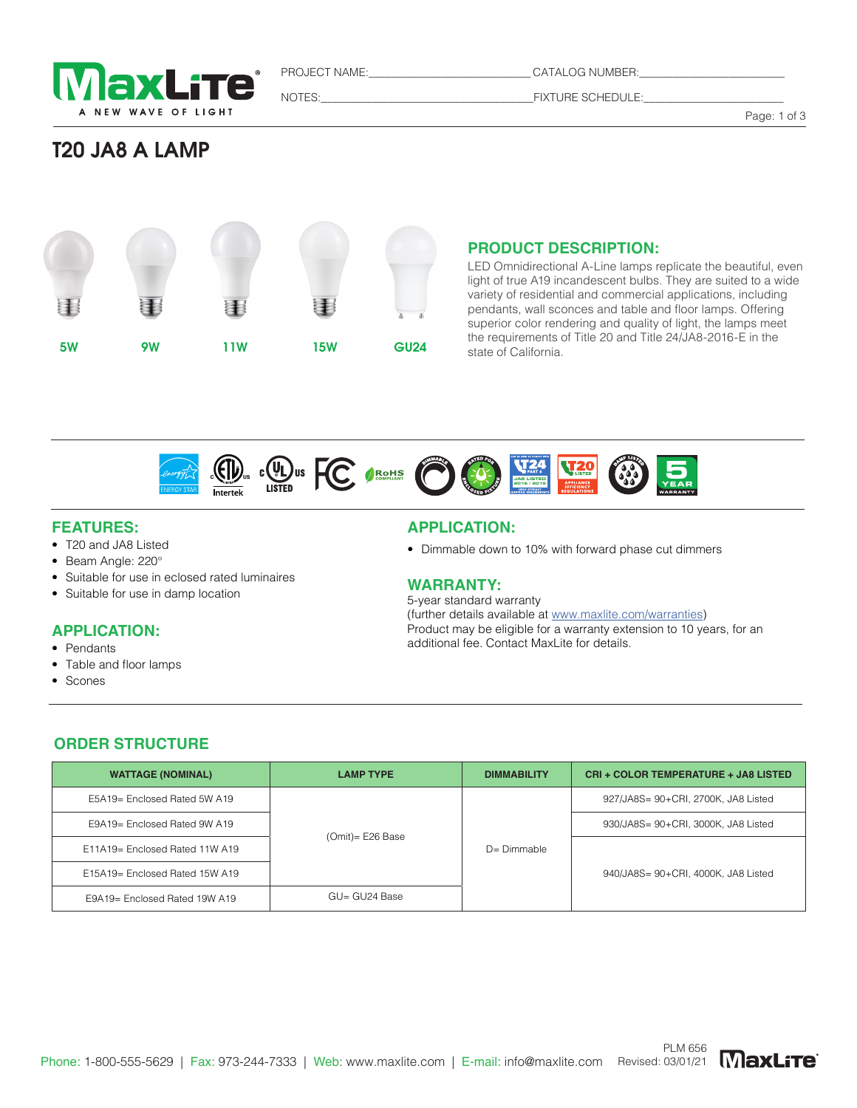

PROJECT NAME: CATALOG NUMBER:

NOTES:\_\_\_\_\_\_\_\_\_\_\_\_\_\_\_\_\_\_\_\_\_\_\_\_\_\_\_\_\_\_\_\_\_\_\_\_\_\_FIXTURE SCHEDULE:\_\_\_\_\_\_\_\_\_\_\_\_\_\_\_\_\_\_\_\_\_\_\_\_\_

Page: 1 of 3

## T20 JA8 A LAMP



#### **PRODUCT DESCRIPTION:**

LED Omnidirectional A-Line lamps replicate the beautiful, even light of true A19 incandescent bulbs. They are suited to a wide variety of residential and commercial applications, including pendants, wall sconces and table and floor lamps. Offering superior color rendering and quality of light, the lamps meet the requirements of Title 20 and Title 24/JA8-2016-E in the state of California.



#### **FEATURES:**

- T20 and JA8 Listed
- Beam Angle: 220°
- Suitable for use in eclosed rated luminaires
- Suitable for use in damp location

### **APPLICATION:**

- Pendants
- Table and floor lamps
- Scones

#### **APPLICATION:**

• Dimmable down to 10% with forward phase cut dimmers

#### **WARRANTY:**

5-year standard warranty (further details available at www.maxlite.com/warranties) Product may be eligible for a warranty extension to 10 years, for an additional fee. Contact MaxLite for details.

#### **ORDER STRUCTURE**

| <b>WATTAGE (NOMINAL)</b>       | <b>LAMP TYPE</b>  | <b>DIMMABILITY</b> | <b>CRI + COLOR TEMPERATURE + JA8 LISTED</b> |  |
|--------------------------------|-------------------|--------------------|---------------------------------------------|--|
| E5A19= Enclosed Rated 5W A19   |                   | $D = Dimmable$     | 927/JA8S= 90+CRI, 2700K, JA8 Listed         |  |
| E9A19= Enclosed Rated 9W A19   | $(Omit)=E26$ Base |                    | 930/JA8S= 90+CRI, 3000K, JA8 Listed         |  |
| E11A19= Enclosed Rated 11W A19 |                   |                    | 940/JA8S= 90+CRI, 4000K, JA8 Listed         |  |
| E15A19= Enclosed Rated 15W A19 |                   |                    |                                             |  |
| E9A19= Enclosed Rated 19W A19  | $GU = GU24$ Base  |                    |                                             |  |

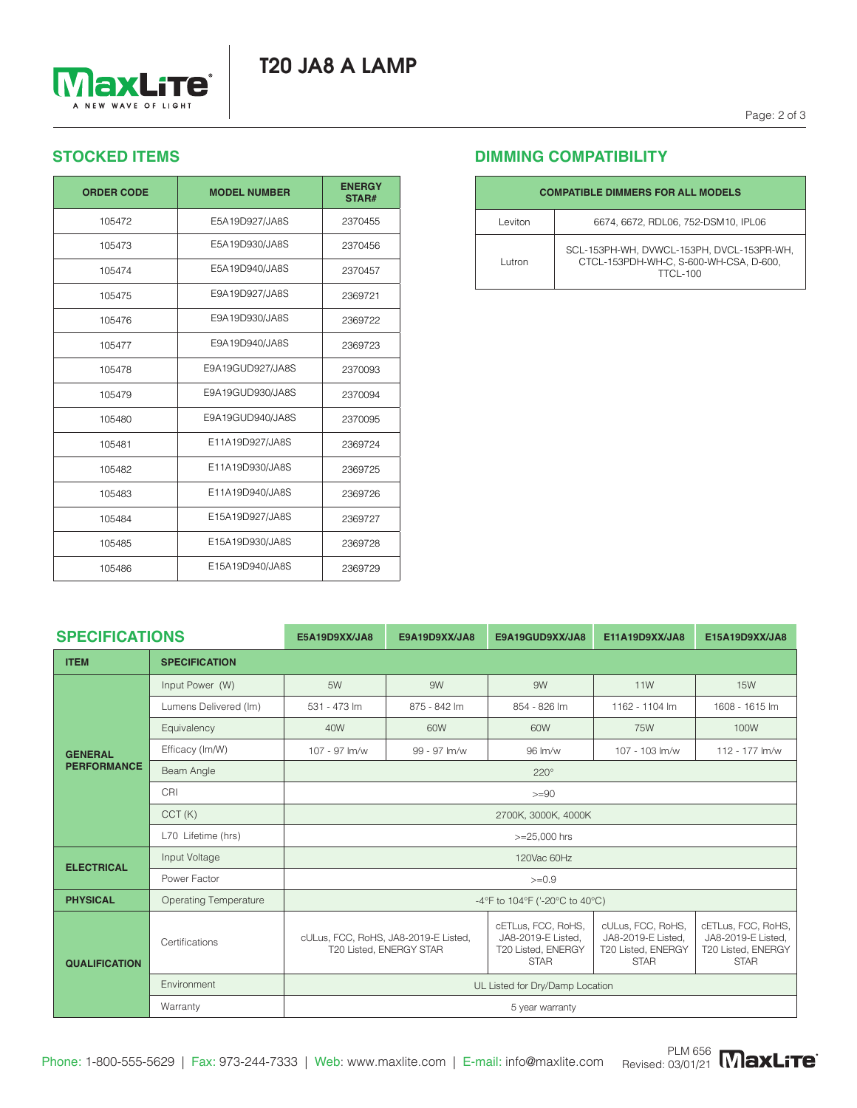# T20 JA8 A LAMP



## **STOCKED ITEMS**

| <b>ORDER CODE</b> | <b>MODEL NUMBER</b> | <b>ENERGY</b><br>STAR# |
|-------------------|---------------------|------------------------|
| 105472            | E5A19D927/JA8S      | 2370455                |
| 105473            | E5A19D930/JA8S      | 2370456                |
| 105474            | E5A19D940/JA8S      | 2370457                |
| 105475            | E9A19D927/JA8S      | 2369721                |
| 105476            | E9A19D930/JA8S      | 2369722                |
| 105477            | E9A19D940/JA8S      | 2369723                |
| 105478            | E9A19GUD927/JA8S    | 2370093                |
| 105479            | E9A19GUD930/JA8S    | 2370094                |
| 105480            | E9A19GUD940/JA8S    | 2370095                |
| 105481            | E11A19D927/JA8S     | 2369724                |
| 105482            | E11A19D930/JA8S     | 2369725                |
| 105483            | E11A19D940/JA8S     | 2369726                |
| 105484            | E15A19D927/JA8S     | 2369727                |
| 105485            | E15A19D930/JA8S     | 2369728                |
| 105486            | E15A19D940/JA8S     | 2369729                |

## **DIMMING COMPATIBILITY**

| <b>COMPATIBLE DIMMERS FOR ALL MODELS</b> |                                                                                                        |  |  |  |
|------------------------------------------|--------------------------------------------------------------------------------------------------------|--|--|--|
| Leviton                                  | 6674, 6672, RDL06, 752-DSM10, IPL06                                                                    |  |  |  |
| Lutron                                   | SCL-153PH-WH, DVWCL-153PH, DVCL-153PR-WH,<br>CTCL-153PDH-WH-C, S-600-WH-CSA, D-600,<br><b>TTCL-100</b> |  |  |  |

| <b>SPECIFICATIONS</b>                |                              | E5A19D9XX/JA8                                                   | E9A19D9XX/JA8 | E9A19GUD9XX/JA8                                                               | E11A19D9XX/JA8                                                               | E15A19D9XX/JA8                                                                |  |  |  |  |
|--------------------------------------|------------------------------|-----------------------------------------------------------------|---------------|-------------------------------------------------------------------------------|------------------------------------------------------------------------------|-------------------------------------------------------------------------------|--|--|--|--|
| <b>ITEM</b>                          | <b>SPECIFICATION</b>         |                                                                 |               |                                                                               |                                                                              |                                                                               |  |  |  |  |
| <b>GENERAL</b><br><b>PERFORMANCE</b> | Input Power (W)              | 5W                                                              | 9W            | 9W                                                                            | <b>11W</b>                                                                   | <b>15W</b>                                                                    |  |  |  |  |
|                                      | Lumens Delivered (Im)        | 531 - 473 lm                                                    | 875 - 842 lm  | 854 - 826 lm                                                                  | 1162 - 1104 lm                                                               | 1608 - 1615 lm                                                                |  |  |  |  |
|                                      | Equivalency                  | 40W                                                             | 60W           | 60W                                                                           | <b>75W</b>                                                                   | 100W                                                                          |  |  |  |  |
|                                      | Efficacy (Im/W)              | 107 - 97 lm/w                                                   | 99 - 97 lm/w  | 96 lm/w                                                                       | 107 - 103 lm/w                                                               | 112 - 177 lm/w                                                                |  |  |  |  |
|                                      | Beam Angle                   | $220^\circ$                                                     |               |                                                                               |                                                                              |                                                                               |  |  |  |  |
|                                      | CRI                          | $>=90$                                                          |               |                                                                               |                                                                              |                                                                               |  |  |  |  |
|                                      | CCT(K)                       | 2700K, 3000K, 4000K                                             |               |                                                                               |                                                                              |                                                                               |  |  |  |  |
|                                      | L70 Lifetime (hrs)           | $>=25,000$ hrs                                                  |               |                                                                               |                                                                              |                                                                               |  |  |  |  |
| <b>ELECTRICAL</b>                    | Input Voltage                | 120Vac 60Hz                                                     |               |                                                                               |                                                                              |                                                                               |  |  |  |  |
|                                      | Power Factor                 | $>=0.9$                                                         |               |                                                                               |                                                                              |                                                                               |  |  |  |  |
| <b>PHYSICAL</b>                      | <b>Operating Temperature</b> | -4°F to 104°F ('-20°C to 40°C)                                  |               |                                                                               |                                                                              |                                                                               |  |  |  |  |
| <b>QUALIFICATION</b>                 | Certifications               | cULus, FCC, RoHS, JA8-2019-E Listed,<br>T20 Listed, ENERGY STAR |               | cETLus, FCC, RoHS,<br>JA8-2019-E Listed,<br>T20 Listed, ENERGY<br><b>STAR</b> | cULus, FCC, RoHS,<br>JA8-2019-E Listed,<br>T20 Listed, ENERGY<br><b>STAR</b> | cETLus, FCC, RoHS,<br>JA8-2019-E Listed,<br>T20 Listed, ENERGY<br><b>STAR</b> |  |  |  |  |
|                                      | Environment                  | UL Listed for Dry/Damp Location                                 |               |                                                                               |                                                                              |                                                                               |  |  |  |  |
|                                      | Warranty                     | 5 year warranty                                                 |               |                                                                               |                                                                              |                                                                               |  |  |  |  |